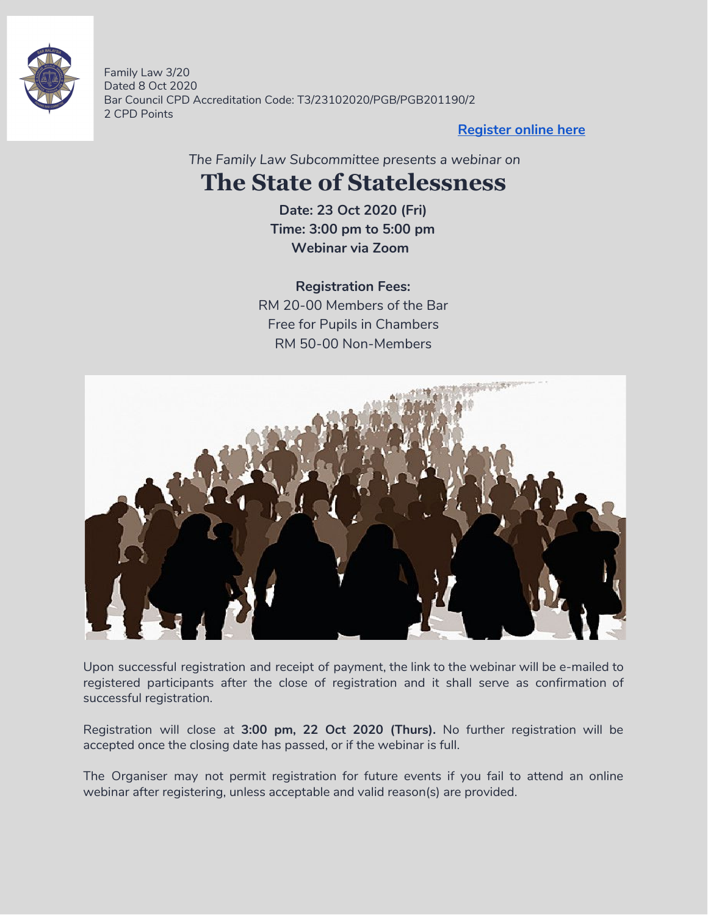

Family Law 3/20 Dated 8 Oct 2020 Bar Council CPD Accreditation Code: T3/23102020/PGB/PGB201190/2 2 CPD Points

**[Register](https://forms.gle/mYWADRvnWgs9RrQ68) online here**

*The Family Law Subcommittee presents a webinar on*

### **The State of Statelessness**

**Date: 23 Oct 2020 (Fri) Time: 3:00 pm to 5:00 pm Webinar via Zoom**

**Registration Fees:** RM 20-00 Members of the Bar Free for Pupils in Chambers RM 50-00 Non-Members



Upon successful registration and receipt of payment, the link to the webinar will be e-mailed to registered participants after the close of registration and it shall serve as confirmation of successful registration.

Registration will close at **3:00 pm, 22 Oct 2020 (Thurs).** No further registration will be accepted once the closing date has passed, or if the webinar is full.

The Organiser may not permit registration for future events if you fail to attend an online webinar after registering, unless acceptable and valid reason(s) are provided.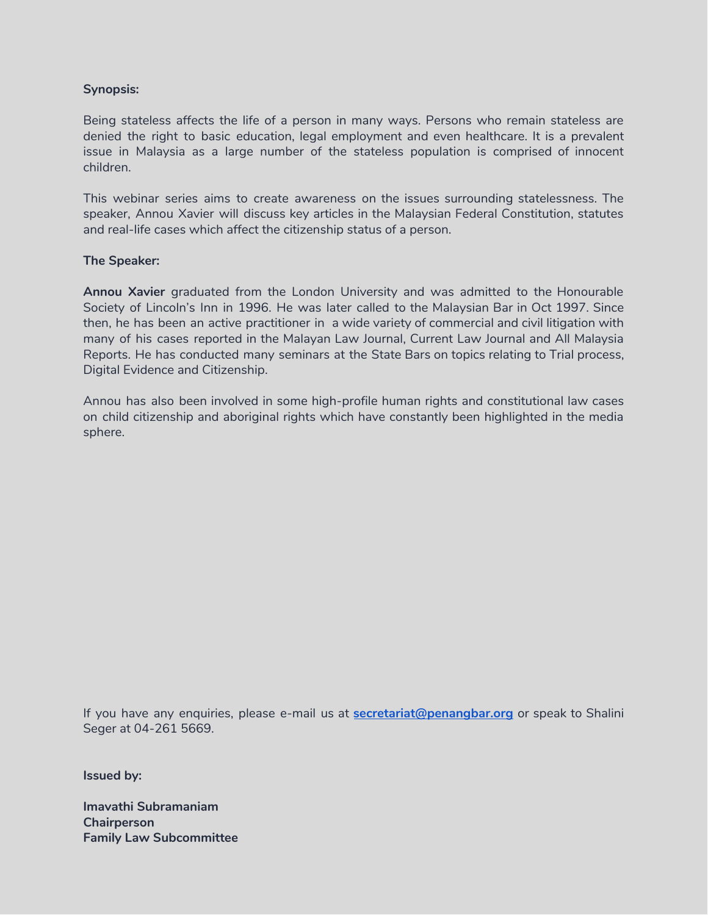#### **Synopsis:**

Being stateless affects the life of a person in many ways. Persons who remain stateless are denied the right to basic education, legal employment and even healthcare. It is a prevalent issue in Malaysia as a large number of the stateless population is comprised of innocent children.

This webinar series aims to create awareness on the issues surrounding statelessness. The speaker, Annou Xavier will discuss key articles in the Malaysian Federal Constitution, statutes and real-life cases which affect the citizenship status of a person.

#### **The Speaker:**

**Annou Xavier** graduated from the London University and was admitted to the Honourable Society of Lincoln's Inn in 1996. He was later called to the Malaysian Bar in Oct 1997. Since then, he has been an active practitioner in a wide variety of commercial and civil litigation with many of his cases reported in the Malayan Law Journal, Current Law Journal and All Malaysia Reports. He has conducted many seminars at the State Bars on topics relating to Trial process, Digital Evidence and Citizenship.

Annou has also been involved in some high-profile human rights and constitutional law cases on child citizenship and aboriginal rights which have constantly been highlighted in the media sphere.

If you have any enquiries, please e-mail us at **[secretariat@penangbar.org](mailto:secretariat@penangbar.org)** or speak to Shalini Seger at 04-261 5669.

**Issued by:**

**Imavathi Subramaniam Chairperson Family Law Subcommittee**